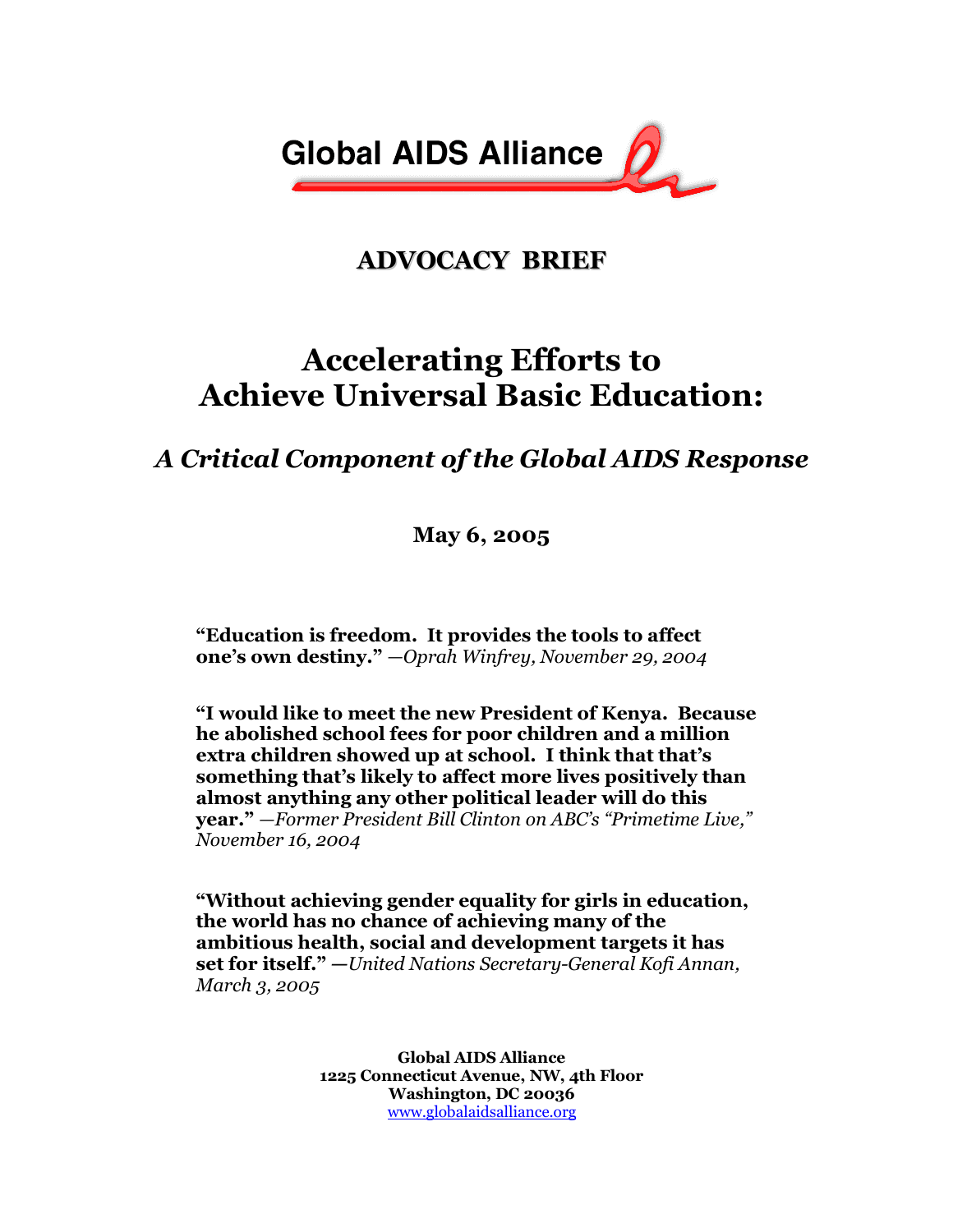Global AIDS Alliance 0

# **ADVOCACY BRIEF**

# **Accelerating Efforts to Achieve Universal Basic Education:**

# *A Critical Component of the Global AIDS Response*

**May 6, 2005** 

**"Education is freedom. It provides the tools to affect one's own destiny."** *—Oprah Winfrey, November 29, 2004*

**"I would like to meet the new President of Kenya. Because he abolished school fees for poor children and a million extra children showed up at school. I think that that's something that's likely to affect more lives positively than almost anything any other political leader will do this year."** *—Former President Bill Clinton on ABC's "Primetime Live," November 16, 2004* 

**"Without achieving gender equality for girls in education, the world has no chance of achieving many of the ambitious health, social and development targets it has set for itself."** *—United Nations Secretary-General Kofi Annan, March 3, 2005*

> **Global AIDS Alliance 1225 Connecticut Avenue, NW, 4th Floor Washington, DC 20036** www.globalaidsalliance.org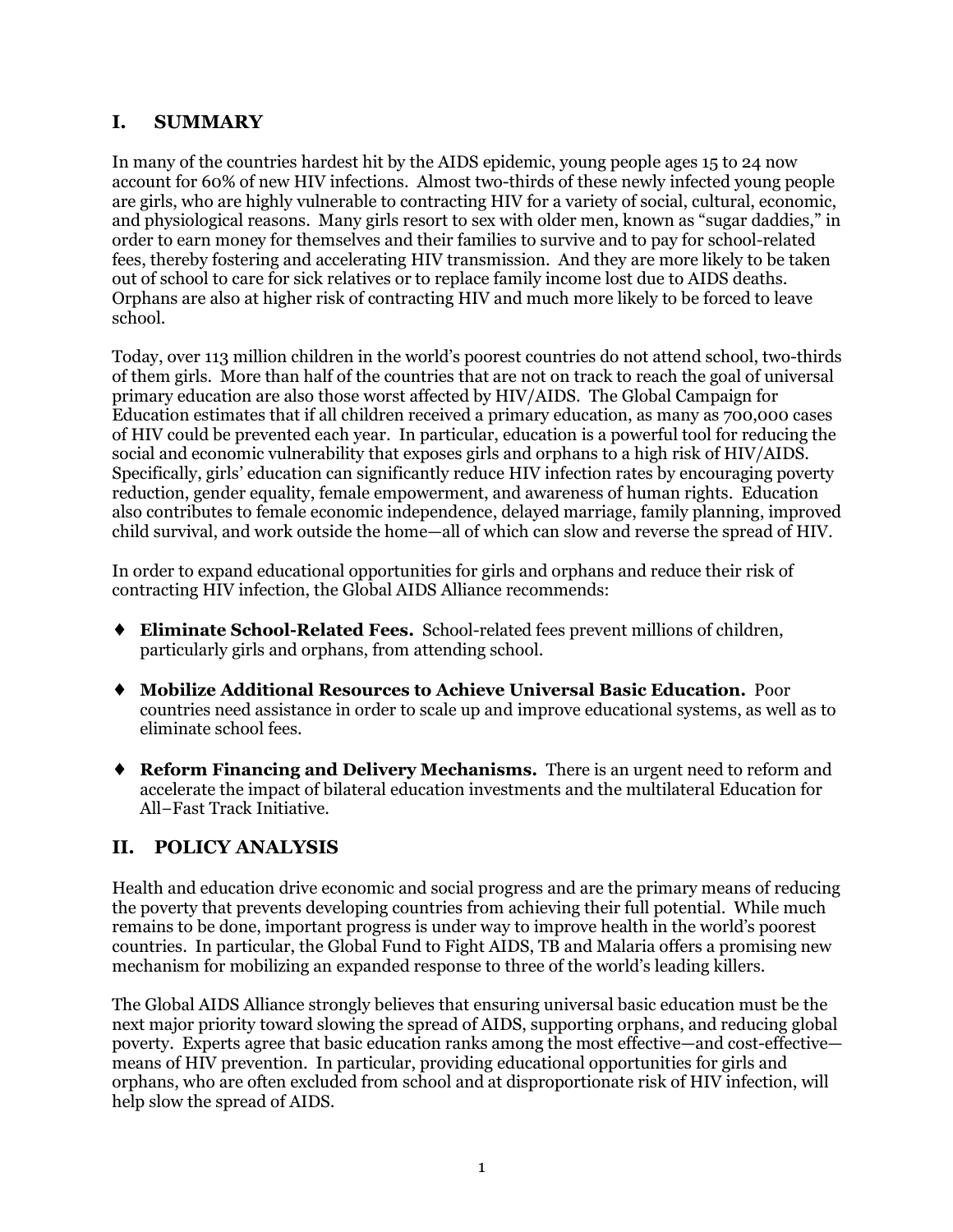#### **I. SUMMARY**

In many of the countries hardest hit by the AIDS epidemic, young people ages 15 to 24 now account for 60% of new HIV infections. Almost two-thirds of these newly infected young people are girls, who are highly vulnerable to contracting HIV for a variety of social, cultural, economic, and physiological reasons. Many girls resort to sex with older men, known as "sugar daddies," in order to earn money for themselves and their families to survive and to pay for school-related fees, thereby fostering and accelerating HIV transmission. And they are more likely to be taken out of school to care for sick relatives or to replace family income lost due to AIDS deaths. Orphans are also at higher risk of contracting HIV and much more likely to be forced to leave school.

Today, over 113 million children in the world's poorest countries do not attend school, two-thirds of them girls. More than half of the countries that are not on track to reach the goal of universal primary education are also those worst affected by HIV/AIDS. The Global Campaign for Education estimates that if all children received a primary education, as many as 700,000 cases of HIV could be prevented each year. In particular, education is a powerful tool for reducing the social and economic vulnerability that exposes girls and orphans to a high risk of HIV/AIDS. Specifically, girls' education can significantly reduce HIV infection rates by encouraging poverty reduction, gender equality, female empowerment, and awareness of human rights. Education also contributes to female economic independence, delayed marriage, family planning, improved child survival, and work outside the home—all of which can slow and reverse the spread of HIV.

In order to expand educational opportunities for girls and orphans and reduce their risk of contracting HIV infection, the Global AIDS Alliance recommends:

- ♦ **Eliminate School-Related Fees.** School-related fees prevent millions of children, particularly girls and orphans, from attending school.
- ♦ **Mobilize Additional Resources to Achieve Universal Basic Education.** Poor countries need assistance in order to scale up and improve educational systems, as well as to eliminate school fees.
- ♦ **Reform Financing and Delivery Mechanisms.** There is an urgent need to reform and accelerate the impact of bilateral education investments and the multilateral Education for All−Fast Track Initiative.

# **II. POLICY ANALYSIS**

Health and education drive economic and social progress and are the primary means of reducing the poverty that prevents developing countries from achieving their full potential. While much remains to be done, important progress is under way to improve health in the world's poorest countries. In particular, the Global Fund to Fight AIDS, TB and Malaria offers a promising new mechanism for mobilizing an expanded response to three of the world's leading killers.

The Global AIDS Alliance strongly believes that ensuring universal basic education must be the next major priority toward slowing the spread of AIDS, supporting orphans, and reducing global poverty. Experts agree that basic education ranks among the most effective—and cost-effective means of HIV prevention. In particular, providing educational opportunities for girls and orphans, who are often excluded from school and at disproportionate risk of HIV infection, will help slow the spread of AIDS.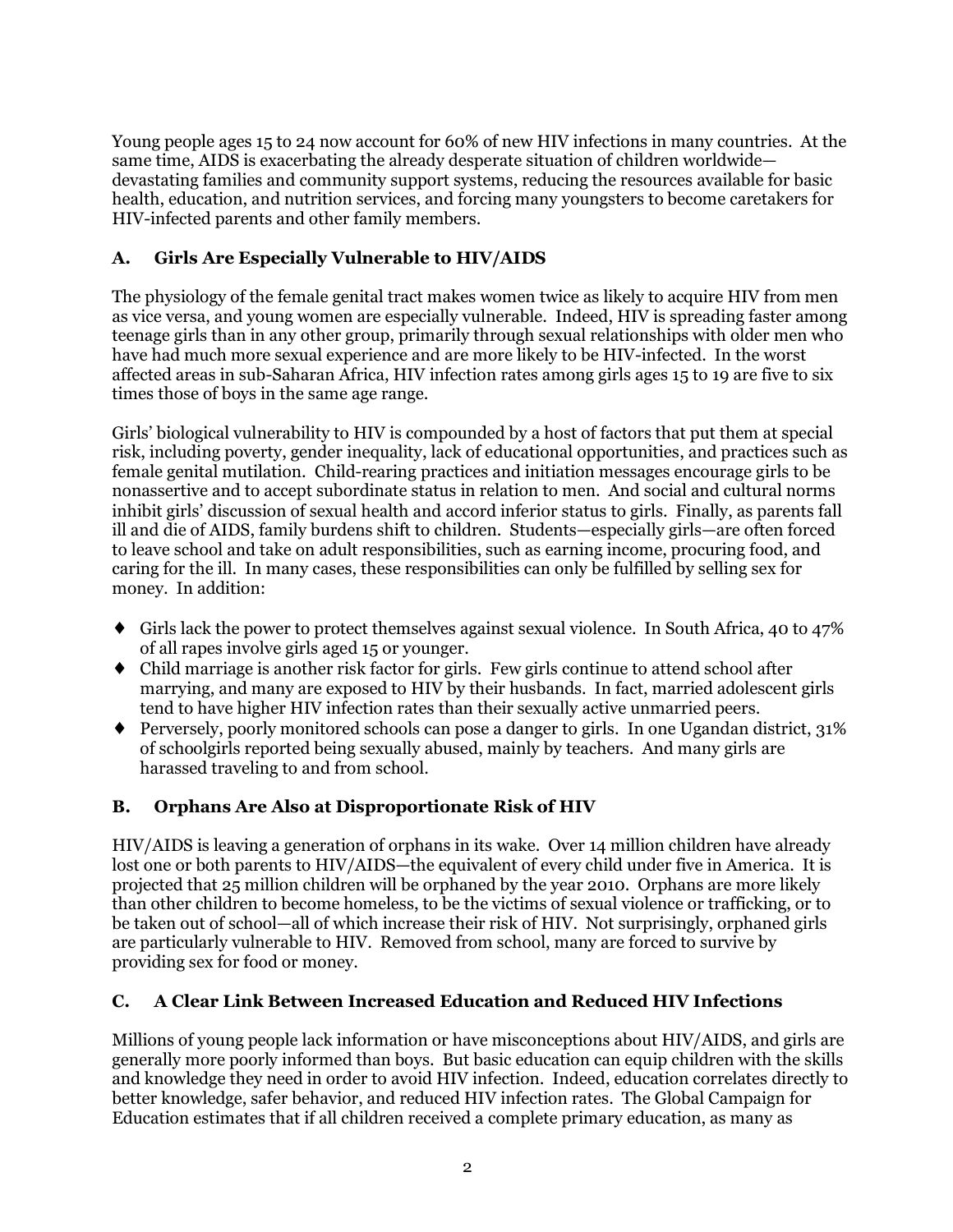Young people ages 15 to 24 now account for 60% of new HIV infections in many countries. At the same time, AIDS is exacerbating the already desperate situation of children worldwide devastating families and community support systems, reducing the resources available for basic health, education, and nutrition services, and forcing many youngsters to become caretakers for HIV-infected parents and other family members.

# **A. Girls Are Especially Vulnerable to HIV/AIDS**

The physiology of the female genital tract makes women twice as likely to acquire HIV from men as vice versa, and young women are especially vulnerable. Indeed, HIV is spreading faster among teenage girls than in any other group, primarily through sexual relationships with older men who have had much more sexual experience and are more likely to be HIV-infected. In the worst affected areas in sub-Saharan Africa, HIV infection rates among girls ages 15 to 19 are five to six times those of boys in the same age range.

Girls' biological vulnerability to HIV is compounded by a host of factors that put them at special risk, including poverty, gender inequality, lack of educational opportunities, and practices such as female genital mutilation. Child-rearing practices and initiation messages encourage girls to be nonassertive and to accept subordinate status in relation to men. And social and cultural norms inhibit girls' discussion of sexual health and accord inferior status to girls. Finally, as parents fall ill and die of AIDS, family burdens shift to children. Students—especially girls—are often forced to leave school and take on adult responsibilities, such as earning income, procuring food, and caring for the ill. In many cases, these responsibilities can only be fulfilled by selling sex for money. In addition:

- ♦ Girls lack the power to protect themselves against sexual violence. In South Africa, 40 to 47% of all rapes involve girls aged 15 or younger.
- ♦ Child marriage is another risk factor for girls. Few girls continue to attend school after marrying, and many are exposed to HIV by their husbands. In fact, married adolescent girls tend to have higher HIV infection rates than their sexually active unmarried peers.
- ♦ Perversely, poorly monitored schools can pose a danger to girls. In one Ugandan district, 31% of schoolgirls reported being sexually abused, mainly by teachers. And many girls are harassed traveling to and from school.

# **B. Orphans Are Also at Disproportionate Risk of HIV**

HIV/AIDS is leaving a generation of orphans in its wake. Over 14 million children have already lost one or both parents to HIV/AIDS—the equivalent of every child under five in America. It is projected that 25 million children will be orphaned by the year 2010. Orphans are more likely than other children to become homeless, to be the victims of sexual violence or trafficking, or to be taken out of school—all of which increase their risk of HIV. Not surprisingly, orphaned girls are particularly vulnerable to HIV. Removed from school, many are forced to survive by providing sex for food or money.

# **C. A Clear Link Between Increased Education and Reduced HIV Infections**

Millions of young people lack information or have misconceptions about HIV/AIDS, and girls are generally more poorly informed than boys. But basic education can equip children with the skills and knowledge they need in order to avoid HIV infection. Indeed, education correlates directly to better knowledge, safer behavior, and reduced HIV infection rates. The Global Campaign for Education estimates that if all children received a complete primary education, as many as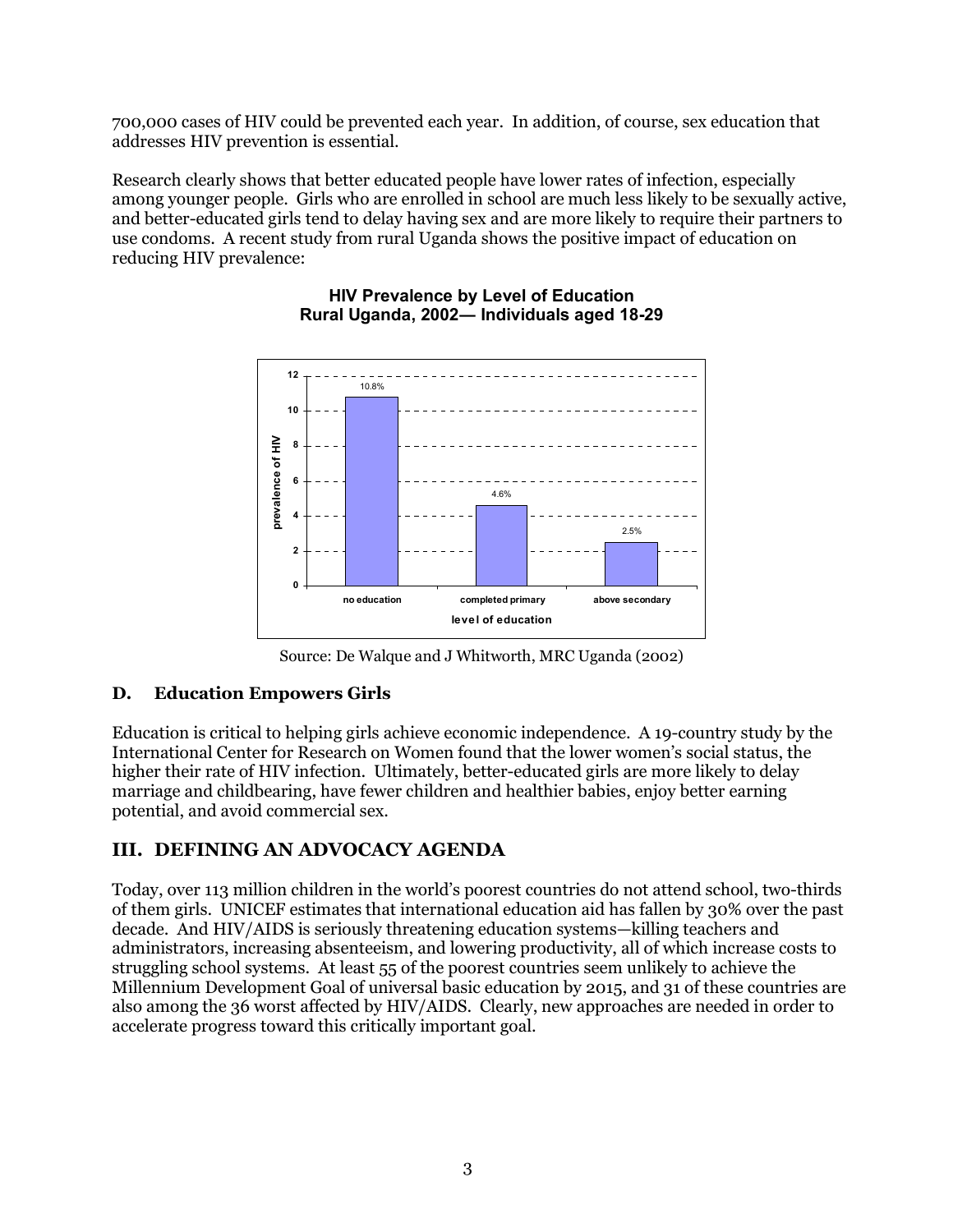700,000 cases of HIV could be prevented each year. In addition, of course, sex education that addresses HIV prevention is essential.

Research clearly shows that better educated people have lower rates of infection, especially among younger people. Girls who are enrolled in school are much less likely to be sexually active, and better-educated girls tend to delay having sex and are more likely to require their partners to use condoms. A recent study from rural Uganda shows the positive impact of education on reducing HIV prevalence:



#### **HIV Prevalence by Level of Education Rural Uganda, 2002― Individuals aged 18-29**

Source: De Walque and J Whitworth, MRC Uganda (2002)

#### **D. Education Empowers Girls**

Education is critical to helping girls achieve economic independence. A 19-country study by the International Center for Research on Women found that the lower women's social status, the higher their rate of HIV infection. Ultimately, better-educated girls are more likely to delay marriage and childbearing, have fewer children and healthier babies, enjoy better earning potential, and avoid commercial sex.

# **III. DEFINING AN ADVOCACY AGENDA**

Today, over 113 million children in the world's poorest countries do not attend school, two-thirds of them girls. UNICEF estimates that international education aid has fallen by 30% over the past decade. And HIV/AIDS is seriously threatening education systems—killing teachers and administrators, increasing absenteeism, and lowering productivity, all of which increase costs to struggling school systems. At least 55 of the poorest countries seem unlikely to achieve the Millennium Development Goal of universal basic education by 2015, and 31 of these countries are also among the 36 worst affected by HIV/AIDS. Clearly, new approaches are needed in order to accelerate progress toward this critically important goal.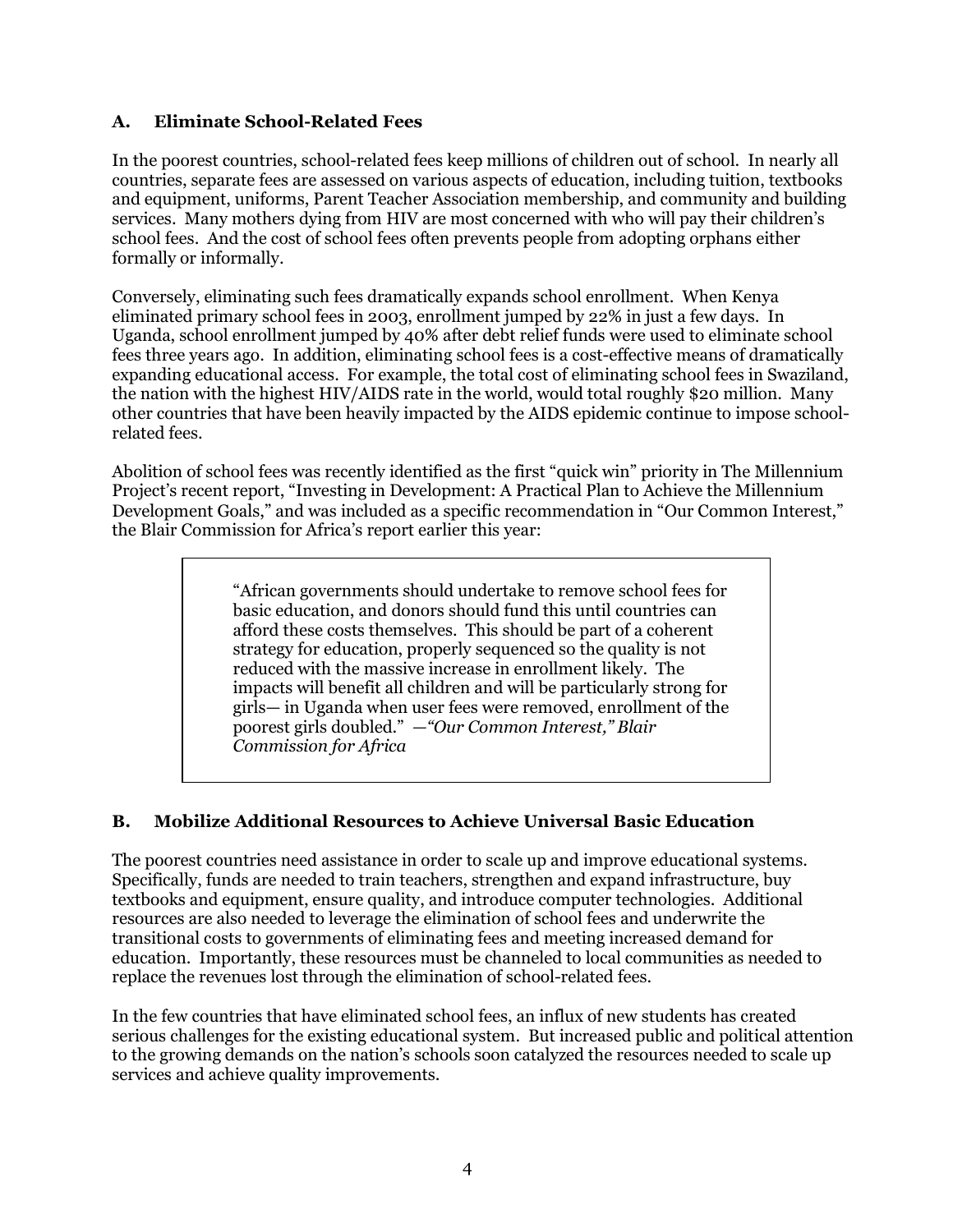#### **A. Eliminate School-Related Fees**

In the poorest countries, school-related fees keep millions of children out of school. In nearly all countries, separate fees are assessed on various aspects of education, including tuition, textbooks and equipment, uniforms, Parent Teacher Association membership, and community and building services. Many mothers dying from HIV are most concerned with who will pay their children's school fees. And the cost of school fees often prevents people from adopting orphans either formally or informally.

Conversely, eliminating such fees dramatically expands school enrollment. When Kenya eliminated primary school fees in 2003, enrollment jumped by 22% in just a few days. In Uganda, school enrollment jumped by 40% after debt relief funds were used to eliminate school fees three years ago. In addition, eliminating school fees is a cost-effective means of dramatically expanding educational access. For example, the total cost of eliminating school fees in Swaziland, the nation with the highest HIV/AIDS rate in the world, would total roughly \$20 million. Many other countries that have been heavily impacted by the AIDS epidemic continue to impose schoolrelated fees.

Abolition of school fees was recently identified as the first "quick win" priority in The Millennium Project's recent report, "Investing in Development: A Practical Plan to Achieve the Millennium Development Goals," and was included as a specific recommendation in "Our Common Interest," the Blair Commission for Africa's report earlier this year:

> "African governments should undertake to remove school fees for basic education, and donors should fund this until countries can afford these costs themselves. This should be part of a coherent strategy for education, properly sequenced so the quality is not reduced with the massive increase in enrollment likely. The impacts will benefit all children and will be particularly strong for girls— in Uganda when user fees were removed, enrollment of the poorest girls doubled." *—"Our Common Interest," Blair Commission for Africa*

#### **B. Mobilize Additional Resources to Achieve Universal Basic Education**

The poorest countries need assistance in order to scale up and improve educational systems. Specifically, funds are needed to train teachers, strengthen and expand infrastructure, buy textbooks and equipment, ensure quality, and introduce computer technologies. Additional resources are also needed to leverage the elimination of school fees and underwrite the transitional costs to governments of eliminating fees and meeting increased demand for education. Importantly, these resources must be channeled to local communities as needed to replace the revenues lost through the elimination of school-related fees.

In the few countries that have eliminated school fees, an influx of new students has created serious challenges for the existing educational system. But increased public and political attention to the growing demands on the nation's schools soon catalyzed the resources needed to scale up services and achieve quality improvements.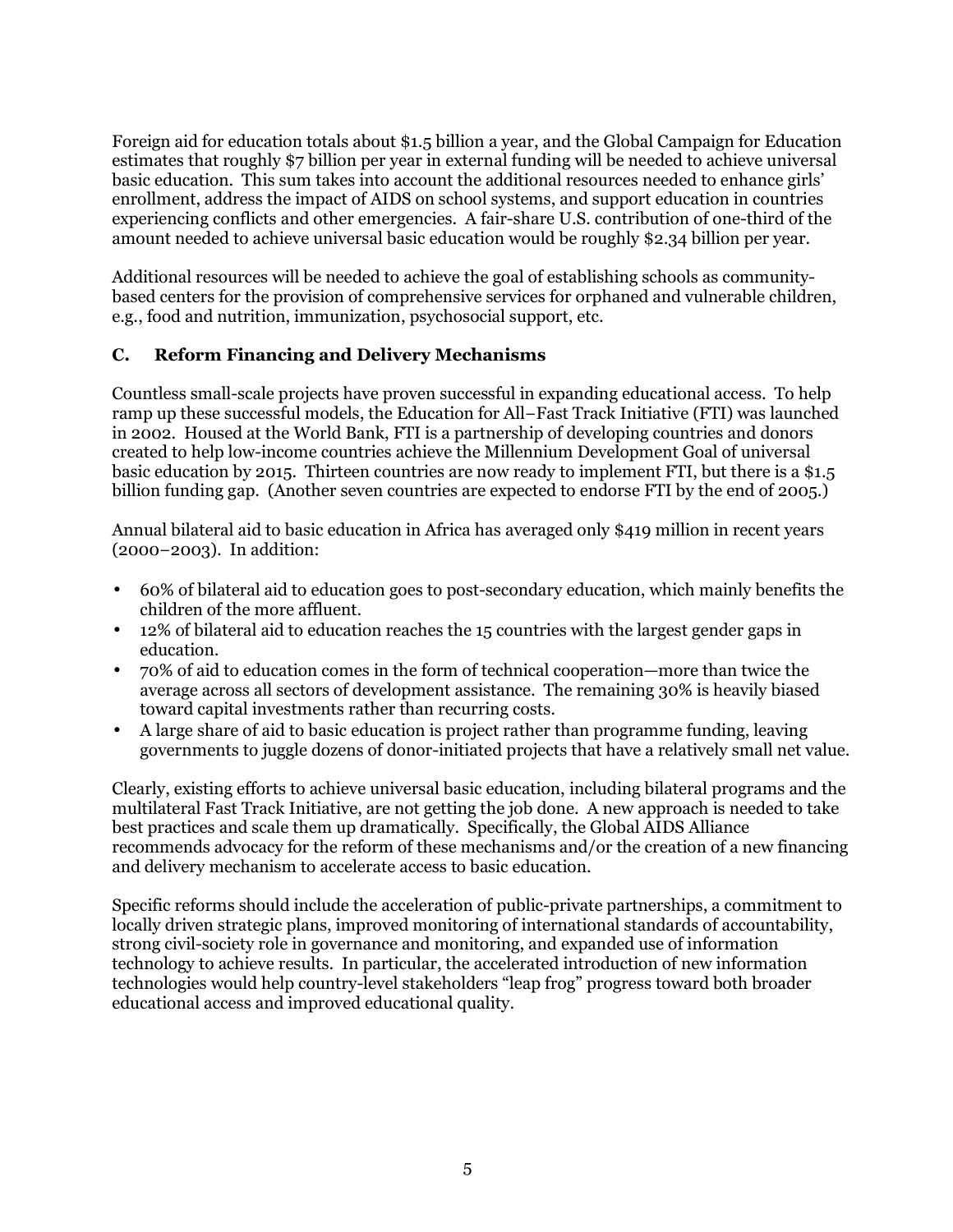Foreign aid for education totals about \$1.5 billion a year, and the Global Campaign for Education estimates that roughly \$7 billion per year in external funding will be needed to achieve universal basic education. This sum takes into account the additional resources needed to enhance girls' enrollment, address the impact of AIDS on school systems, and support education in countries experiencing conflicts and other emergencies. A fair-share U.S. contribution of one-third of the amount needed to achieve universal basic education would be roughly \$2.34 billion per year.

Additional resources will be needed to achieve the goal of establishing schools as communitybased centers for the provision of comprehensive services for orphaned and vulnerable children, e.g., food and nutrition, immunization, psychosocial support, etc.

#### **C. Reform Financing and Delivery Mechanisms**

Countless small-scale projects have proven successful in expanding educational access. To help ramp up these successful models, the Education for All−Fast Track Initiative (FTI) was launched in 2002. Housed at the World Bank, FTI is a partnership of developing countries and donors created to help low-income countries achieve the Millennium Development Goal of universal basic education by 2015. Thirteen countries are now ready to implement FTI, but there is a \$1.5 billion funding gap. (Another seven countries are expected to endorse FTI by the end of 2005.)

Annual bilateral aid to basic education in Africa has averaged only \$419 million in recent years (2000−2003). In addition:

- 60% of bilateral aid to education goes to post-secondary education, which mainly benefits the children of the more affluent.
- 12% of bilateral aid to education reaches the 15 countries with the largest gender gaps in education.
- 70% of aid to education comes in the form of technical cooperation—more than twice the average across all sectors of development assistance. The remaining 30% is heavily biased toward capital investments rather than recurring costs.
- A large share of aid to basic education is project rather than programme funding, leaving governments to juggle dozens of donor-initiated projects that have a relatively small net value.

Clearly, existing efforts to achieve universal basic education, including bilateral programs and the multilateral Fast Track Initiative, are not getting the job done. A new approach is needed to take best practices and scale them up dramatically. Specifically, the Global AIDS Alliance recommends advocacy for the reform of these mechanisms and/or the creation of a new financing and delivery mechanism to accelerate access to basic education.

Specific reforms should include the acceleration of public-private partnerships, a commitment to locally driven strategic plans, improved monitoring of international standards of accountability, strong civil-society role in governance and monitoring, and expanded use of information technology to achieve results. In particular, the accelerated introduction of new information technologies would help country-level stakeholders "leap frog" progress toward both broader educational access and improved educational quality.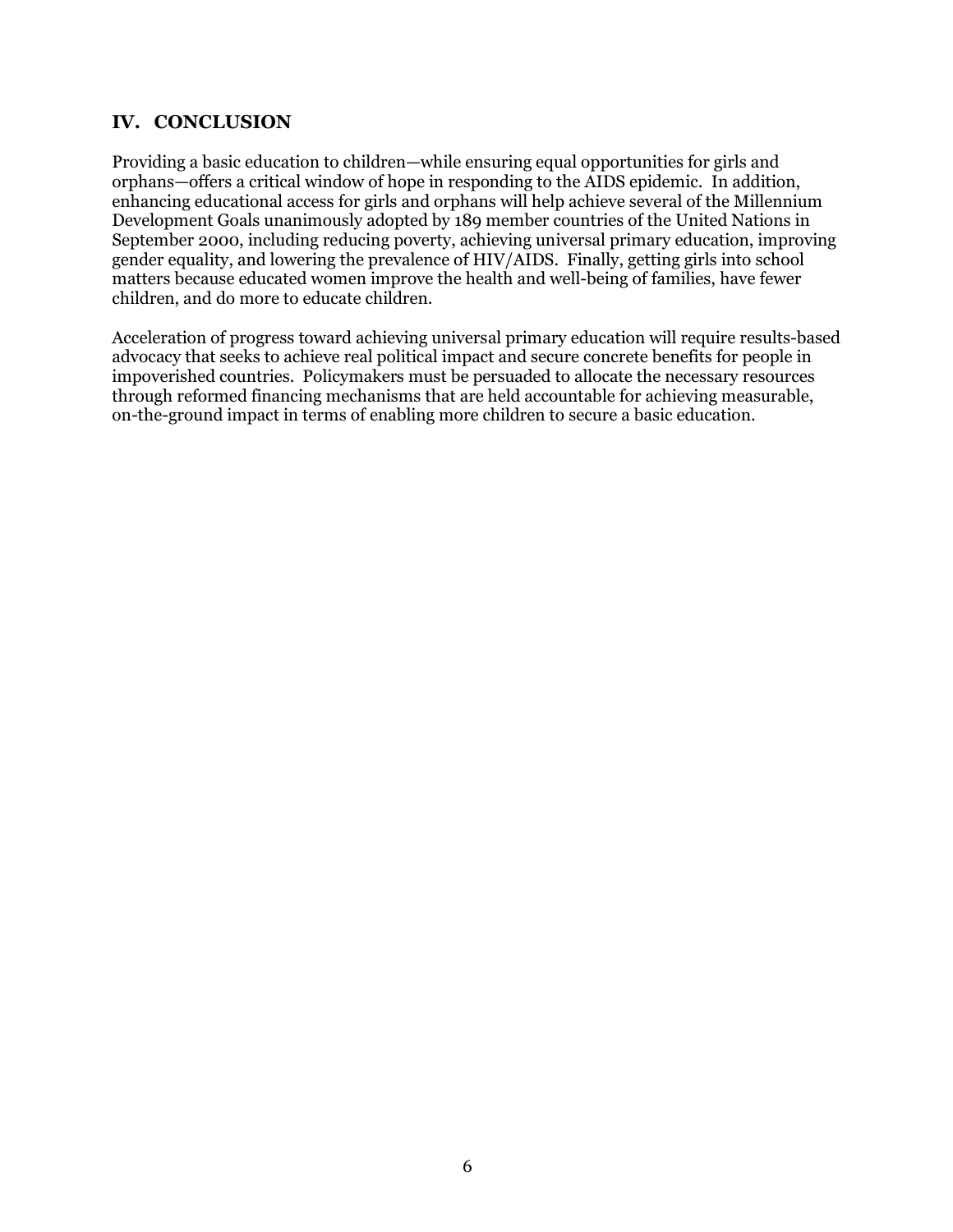#### **IV. CONCLUSION**

Providing a basic education to children—while ensuring equal opportunities for girls and orphans—offers a critical window of hope in responding to the AIDS epidemic. In addition, enhancing educational access for girls and orphans will help achieve several of the Millennium Development Goals unanimously adopted by 189 member countries of the United Nations in September 2000, including reducing poverty, achieving universal primary education, improving gender equality, and lowering the prevalence of HIV/AIDS. Finally, getting girls into school matters because educated women improve the health and well-being of families, have fewer children, and do more to educate children.

Acceleration of progress toward achieving universal primary education will require results-based advocacy that seeks to achieve real political impact and secure concrete benefits for people in impoverished countries. Policymakers must be persuaded to allocate the necessary resources through reformed financing mechanisms that are held accountable for achieving measurable, on-the-ground impact in terms of enabling more children to secure a basic education.